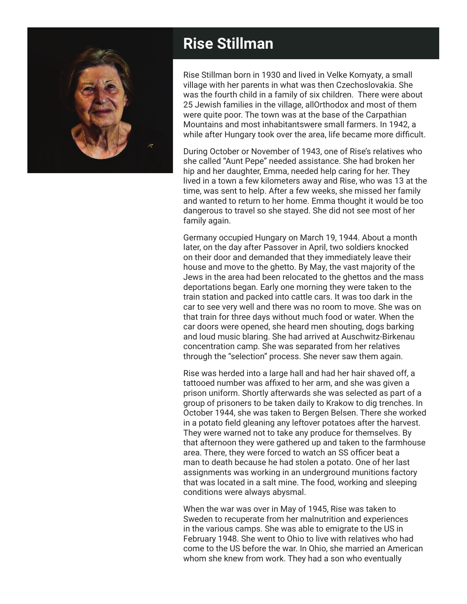

## **Rise Stillman**

Rise Stillman born in 1930 and lived in Velke Komyaty, a small village with her parents in what was then Czechoslovakia. She was the fourth child in a family of six children. There were about 25 Jewish families in the village, allOrthodox and most of them were quite poor. The town was at the base of the Carpathian Mountains and most inhabitantswere small farmers. In 1942, a while after Hungary took over the area, life became more difficult.

During October or November of 1943, one of Rise's relatives who she called "Aunt Pepe" needed assistance. She had broken her hip and her daughter, Emma, needed help caring for her. They lived in a town a few kilometers away and Rise, who was 13 at the time, was sent to help. After a few weeks, she missed her family and wanted to return to her home. Emma thought it would be too dangerous to travel so she stayed. She did not see most of her family again.

Germany occupied Hungary on March 19, 1944. About a month later, on the day after Passover in April, two soldiers knocked on their door and demanded that they immediately leave their house and move to the ghetto. By May, the vast majority of the Jews in the area had been relocated to the ghettos and the mass deportations began. Early one morning they were taken to the train station and packed into cattle cars. It was too dark in the car to see very well and there was no room to move. She was on that train for three days without much food or water. When the car doors were opened, she heard men shouting, dogs barking and loud music blaring. She had arrived at Auschwitz-Birkenau concentration camp. She was separated from her relatives through the "selection" process. She never saw them again.

Rise was herded into a large hall and had her hair shaved off, a tattooed number was affixed to her arm, and she was given a prison uniform. Shortly afterwards she was selected as part of a group of prisoners to be taken daily to Krakow to dig trenches. In October 1944, she was taken to Bergen Belsen. There she worked in a potato field gleaning any leftover potatoes after the harvest. They were warned not to take any produce for themselves. By that afternoon they were gathered up and taken to the farmhouse area. There, they were forced to watch an SS officer beat a man to death because he had stolen a potato. One of her last assignments was working in an underground munitions factory that was located in a salt mine. The food, working and sleeping conditions were always abysmal.

When the war was over in May of 1945, Rise was taken to Sweden to recuperate from her malnutrition and experiences in the various camps. She was able to emigrate to the US in February 1948. She went to Ohio to live with relatives who had come to the US before the war. In Ohio, she married an American whom she knew from work. They had a son who eventually